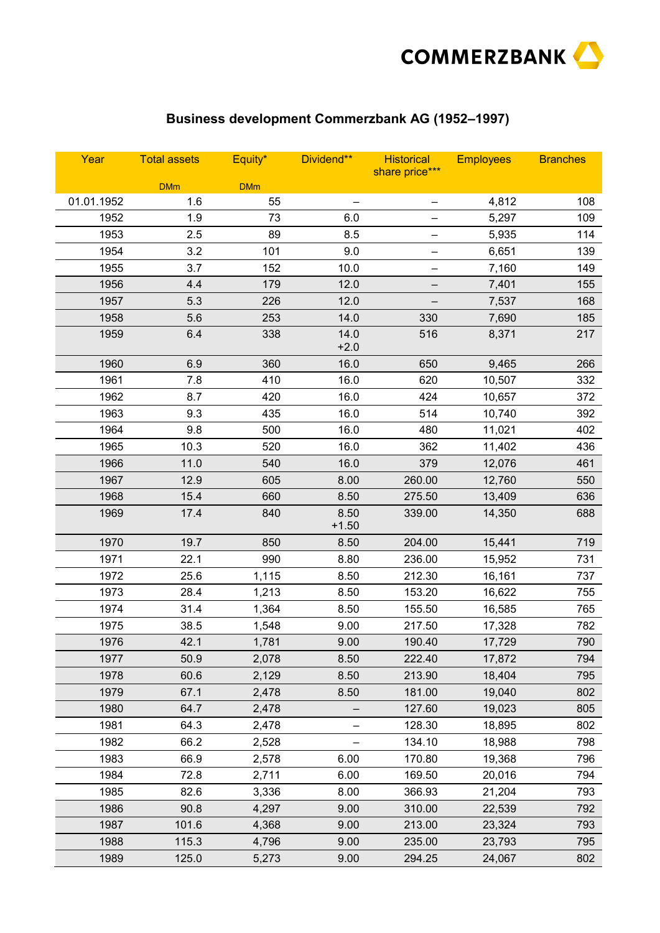

## **Business development Commerzbank AG (1952–1997)**

| Year       | <b>Total assets</b> | Equity*    | Dividend**      | <b>Historical</b><br>share price*** | <b>Employees</b> | <b>Branches</b> |
|------------|---------------------|------------|-----------------|-------------------------------------|------------------|-----------------|
|            | <b>DMm</b>          | <b>DMm</b> |                 |                                     |                  |                 |
| 01.01.1952 | 1.6                 | 55         |                 |                                     | 4,812            | 108             |
| 1952       | 1.9                 | 73         | 6.0             | -                                   | 5,297            | 109             |
| 1953       | 2.5                 | 89         | 8.5             |                                     | 5,935            | 114             |
| 1954       | 3.2                 | 101        | 9.0             | —                                   | 6,651            | 139             |
| 1955       | 3.7                 | 152        | 10.0            |                                     | 7,160            | 149             |
| 1956       | 4.4                 | 179        | 12.0            | —                                   | 7,401            | 155             |
| 1957       | 5.3                 | 226        | 12.0            |                                     | 7,537            | 168             |
| 1958       | 5.6                 | 253        | 14.0            | 330                                 | 7,690            | 185             |
| 1959       | 6.4                 | 338        | 14.0<br>$+2.0$  | 516                                 | 8,371            | 217             |
| 1960       | 6.9                 | 360        | 16.0            | 650                                 | 9,465            | 266             |
| 1961       | 7.8                 | 410        | 16.0            | 620                                 | 10,507           | 332             |
| 1962       | 8.7                 | 420        | 16.0            | 424                                 | 10,657           | 372             |
| 1963       | 9.3                 | 435        | 16.0            | 514                                 | 10,740           | 392             |
| 1964       | 9.8                 | 500        | 16.0            | 480                                 | 11,021           | 402             |
| 1965       | 10.3                | 520        | 16.0            | 362                                 | 11,402           | 436             |
| 1966       | 11.0                | 540        | 16.0            | 379                                 | 12,076           | 461             |
| 1967       | 12.9                | 605        | 8.00            | 260.00                              | 12,760           | 550             |
| 1968       | 15.4                | 660        | 8.50            | 275.50                              | 13,409           | 636             |
| 1969       | 17.4                | 840        | 8.50<br>$+1.50$ | 339.00                              | 14,350           | 688             |
| 1970       | 19.7                | 850        | 8.50            | 204.00                              | 15,441           | 719             |
| 1971       | 22.1                | 990        | 8.80            | 236.00                              | 15,952           | 731             |
| 1972       | 25.6                | 1,115      | 8.50            | 212.30                              | 16,161           | 737             |
| 1973       | 28.4                | 1,213      | 8.50            | 153.20                              | 16,622           | 755             |
| 1974       | 31.4                | 1,364      | 8.50            | 155.50                              | 16,585           | 765             |
| 1975       | 38.5                | 1,548      | 9.00            | 217.50                              | 17,328           | 782             |
| 1976       | 42.1                | 1,781      | 9.00            | 190.40                              | 17,729           | 790             |
| 1977       | 50.9                | 2,078      | 8.50            | 222.40                              | 17,872           | 794             |
| 1978       | 60.6                | 2,129      | 8.50            | 213.90                              | 18,404           | 795             |
| 1979       | 67.1                | 2,478      | 8.50            | 181.00                              | 19,040           | 802             |
| 1980       | 64.7                | 2,478      |                 | 127.60                              | 19,023           | 805             |
| 1981       | 64.3                | 2,478      |                 | 128.30                              | 18,895           | 802             |
| 1982       | 66.2                | 2,528      |                 | 134.10                              | 18,988           | 798             |
| 1983       | 66.9                | 2,578      | 6.00            | 170.80                              | 19,368           | 796             |
| 1984       | 72.8                | 2,711      | 6.00            | 169.50                              | 20,016           | 794             |
| 1985       | 82.6                | 3,336      | 8.00            | 366.93                              | 21,204           | 793             |
| 1986       | 90.8                | 4,297      | 9.00            | 310.00                              | 22,539           | 792             |
| 1987       | 101.6               | 4,368      | 9.00            | 213.00                              | 23,324           | 793             |
| 1988       | 115.3               | 4,796      | 9.00            | 235.00                              | 23,793           | 795             |
| 1989       | 125.0               | 5,273      | 9.00            | 294.25                              | 24,067           | 802             |